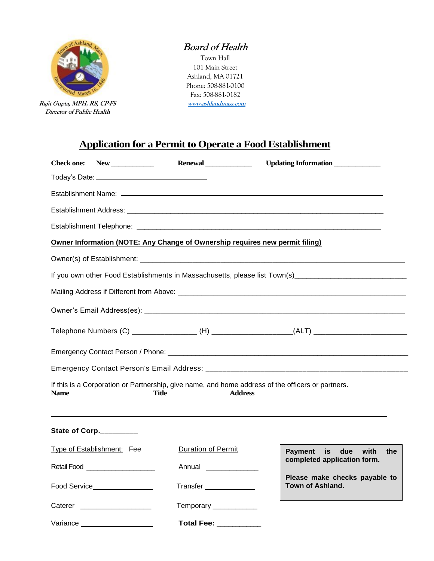

 **Rajit Gupta, MPH, RS, CP-FS [www.ashlandmass.com](http://www.ashlandmass.com/) Director of Public Health** 

### **Board of Health**

Town Hall 101 Main Street Ashland, MA 01721 Phone: 508-881-0100 Fax: 508-881-0182

## **Application for a Permit to Operate a Food Establishment**

| <b>Check one:</b> | New                                     | Renewal                                                                                                             | Updating Information                                                                                       |
|-------------------|-----------------------------------------|---------------------------------------------------------------------------------------------------------------------|------------------------------------------------------------------------------------------------------------|
|                   |                                         |                                                                                                                     |                                                                                                            |
|                   |                                         |                                                                                                                     |                                                                                                            |
|                   |                                         |                                                                                                                     |                                                                                                            |
|                   |                                         |                                                                                                                     |                                                                                                            |
|                   |                                         | Owner Information (NOTE: Any Change of Ownership requires new permit filing)                                        |                                                                                                            |
|                   |                                         |                                                                                                                     |                                                                                                            |
|                   |                                         |                                                                                                                     | If you own other Food Establishments in Massachusetts, please list Town(s)________________________________ |
|                   |                                         |                                                                                                                     |                                                                                                            |
|                   |                                         |                                                                                                                     |                                                                                                            |
|                   |                                         |                                                                                                                     |                                                                                                            |
|                   |                                         |                                                                                                                     |                                                                                                            |
|                   |                                         |                                                                                                                     |                                                                                                            |
| <b>Name</b>       | Title                                   | If this is a Corporation or Partnership, give name, and home address of the officers or partners.<br><b>Address</b> |                                                                                                            |
|                   | State of Corp.                          |                                                                                                                     |                                                                                                            |
|                   | <b>Type of Establishment:</b> Fee       | <b>Duration of Permit</b>                                                                                           | <b>Payment</b><br>with<br>is<br>due<br>the                                                                 |
|                   | Retail Food <u>____________________</u> | Annual <b>Annual</b>                                                                                                | completed application form.                                                                                |
|                   | Food Service <u>San Alexander</u>       |                                                                                                                     | Please make checks payable to<br>Town of Ashland.                                                          |
|                   | Caterer _______________________         | Temporary _____________                                                                                             |                                                                                                            |
| Variance          |                                         | <b>Total Fee:</b>                                                                                                   |                                                                                                            |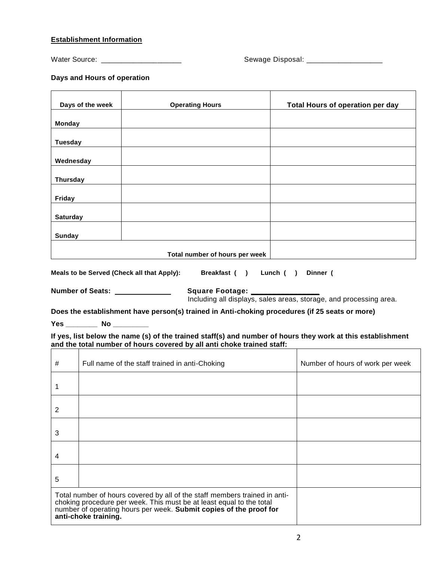#### **Establishment Information**

Water Source: \_\_\_\_\_\_\_\_\_\_\_\_\_\_\_\_\_\_\_\_ Sewage Disposal: \_\_\_\_\_\_\_\_\_\_\_\_\_\_\_\_\_\_\_

#### **Days and Hours of operation**

| Days of the week | <b>Operating Hours</b>         | Total Hours of operation per day |
|------------------|--------------------------------|----------------------------------|
|                  |                                |                                  |
| <b>Monday</b>    |                                |                                  |
| Tuesday          |                                |                                  |
| Wednesday        |                                |                                  |
|                  |                                |                                  |
| Thursday         |                                |                                  |
| Friday           |                                |                                  |
| <b>Saturday</b>  |                                |                                  |
| <b>Sunday</b>    |                                |                                  |
|                  | Total number of hours per week |                                  |

**Meals to be Served (Check all that Apply): Breakfast ( ) Lunch ( ) Dinner (** 

**Number of Seats:** \_\_\_\_\_\_\_\_\_\_\_\_\_\_ **Square Footage: \_\_\_\_\_\_\_\_\_\_\_\_\_\_\_\_**

Including all displays, sales areas, storage, and processing area.

#### **Does the establishment have person(s) trained in Anti-choking procedures (if 25 seats or more)**

**Yes \_\_\_\_\_\_\_\_ No \_\_\_\_\_\_\_\_\_**

#### **If yes, list below the name (s) of the trained staff(s) and number of hours they work at this establishment and the total number of hours covered by all anti choke trained staff:**

| # | Full name of the staff trained in anti-Choking                                                                                                                                                                                                   | Number of hours of work per week |
|---|--------------------------------------------------------------------------------------------------------------------------------------------------------------------------------------------------------------------------------------------------|----------------------------------|
|   |                                                                                                                                                                                                                                                  |                                  |
| 2 |                                                                                                                                                                                                                                                  |                                  |
| 3 |                                                                                                                                                                                                                                                  |                                  |
| 4 |                                                                                                                                                                                                                                                  |                                  |
| 5 |                                                                                                                                                                                                                                                  |                                  |
|   | Total number of hours covered by all of the staff members trained in anti-<br>choking procedure per week. This must be at least equal to the total<br>number of operating hours per week. Submit copies of the proof for<br>anti-choke training. |                                  |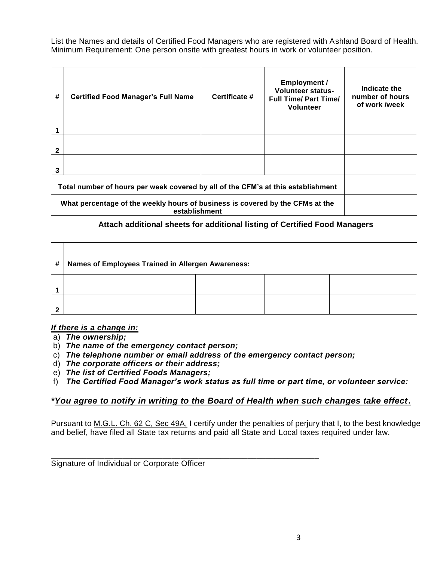List the Names and details of Certified Food Managers who are registered with Ashland Board of Health. Minimum Requirement: One person onsite with greatest hours in work or volunteer position.

| #                                                                                              | <b>Certified Food Manager's Full Name</b> | Certificate # | <b>Employment /</b><br><b>Volunteer status-</b><br><b>Full Time/ Part Time/</b><br><b>Volunteer</b> | Indicate the<br>number of hours<br>of work /week |
|------------------------------------------------------------------------------------------------|-------------------------------------------|---------------|-----------------------------------------------------------------------------------------------------|--------------------------------------------------|
|                                                                                                |                                           |               |                                                                                                     |                                                  |
| $\mathbf{2}$                                                                                   |                                           |               |                                                                                                     |                                                  |
| 3                                                                                              |                                           |               |                                                                                                     |                                                  |
| Total number of hours per week covered by all of the CFM's at this establishment               |                                           |               |                                                                                                     |                                                  |
| What percentage of the weekly hours of business is covered by the CFMs at the<br>establishment |                                           |               |                                                                                                     |                                                  |

#### **Attach additional sheets for additional listing of Certified Food Managers**

| # | Names of Employees Trained in Allergen Awareness: |  |  |
|---|---------------------------------------------------|--|--|
|   |                                                   |  |  |
| c |                                                   |  |  |

#### *If there is a change in:*

- a) *The ownership;*
- b) *The name of the emergency contact person;*
- c) *The telephone number or email address of the emergency contact person;*

\_\_\_\_\_\_\_\_\_\_\_\_\_\_\_\_\_\_\_\_\_\_\_\_\_\_\_\_\_\_\_\_\_\_\_\_\_\_\_\_\_\_\_\_\_\_\_\_\_\_\_\_\_\_\_\_\_\_\_\_

- d) *The corporate officers or their address;*
- e) *The list of Certified Foods Managers;*
- f) *The Certified Food Manager's work status as full time or part time, or volunteer service:*

#### *\*You agree to notify in writing to the Board of Health when such changes take effect***.**

Pursuant to M.G.L. Ch. 62 C, Sec 49A, I certify under the penalties of perjury that I, to the best knowledge and belief, have filed all State tax returns and paid all State and Local taxes required under law.

Signature of Individual or Corporate Officer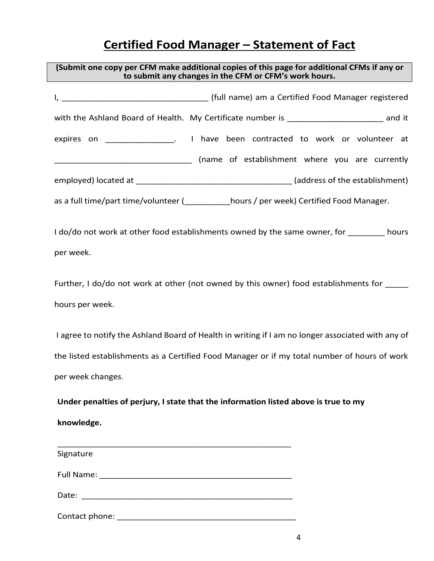## **Certified Food Manager – Statement of Fact**

# **(Submit one copy per CFM make additional copies of this page for additional CFMs if any or to submit any changes in the CFM or CFM's work hours.**

|                                      | I, tull name) am a Certified Food Manager registered                                     |  |
|--------------------------------------|------------------------------------------------------------------------------------------|--|
|                                      | with the Ashland Board of Health. My Certificate number is ______________________ and it |  |
|                                      | expires on ________________. I have been contracted to work or volunteer at              |  |
|                                      | (name of establishment where you are currently                                           |  |
|                                      | (address of the establishment)                                                           |  |
| as a full time/part time/volunteer ( | hours / per week) Certified Food Manager.                                                |  |

I do/do not work at other food establishments owned by the same owner, for \_\_\_\_\_\_\_\_ hours per week.

Further, I do/do not work at other (not owned by this owner) food establishments for \_\_\_\_\_ hours per week.

I agree to notify the Ashland Board of Health in writing if I am no longer associated with any of the listed establishments as a Certified Food Manager or if my total number of hours of work per week changes.

**Under penalties of perjury, I state that the information listed above is true to my knowledge.**

| Signature      |  |  |
|----------------|--|--|
| Full Name:     |  |  |
| Date:          |  |  |
| Contact phone: |  |  |